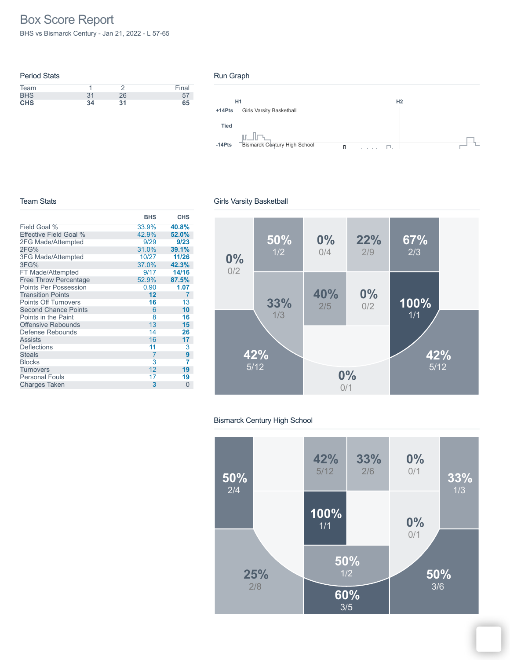# Box Score Report

BHS vs Bismarck Century - Jan 21, 2022 - L 57-65

| <b>Period Stats</b> |    |    |       |
|---------------------|----|----|-------|
| Team                |    |    | Final |
| <b>BHS</b>          | 31 | 26 |       |
| <b>CHS</b>          | 34 | 31 | 65    |

### Run Graph



#### Team Stats

|                               | <b>BHS</b> | <b>CHS</b>     |
|-------------------------------|------------|----------------|
| Field Goal %                  | 33.9%      | 40.8%          |
| <b>Effective Field Goal %</b> | 42.9%      | 52.0%          |
| 2FG Made/Attempted            | 9/29       | 9/23           |
| 2FG%                          | 31.0%      | 39.1%          |
| <b>3FG Made/Attempted</b>     | 10/27      | 11/26          |
| 3FG%                          | 37.0%      | 42.3%          |
| FT Made/Attempted             | 9/17       | 14/16          |
| <b>Free Throw Percentage</b>  | 52.9%      | 87.5%          |
| <b>Points Per Possession</b>  | 0.90       | 1.07           |
| <b>Transition Points</b>      | 12         | $\overline{7}$ |
| <b>Points Off Turnovers</b>   | 16         | 13             |
| <b>Second Chance Points</b>   | 6          | 10             |
| Points in the Paint           | 8          | 16             |
| <b>Offensive Rebounds</b>     | 13         | 15             |
| Defense Rebounds              | 14         | 26             |
| <b>Assists</b>                | 16         | 17             |
| <b>Deflections</b>            | 11         | 3              |
| <b>Steals</b>                 | 7          | 9              |
| <b>Blocks</b>                 | 3          | 7              |
| <b>Turnovers</b>              | 12         | 19             |
| <b>Personal Fouls</b>         | 17         | 19             |
| <b>Charges Taken</b>          | 3          | 0              |

## Girls Varsity Basketball



## Bismarck Century High School